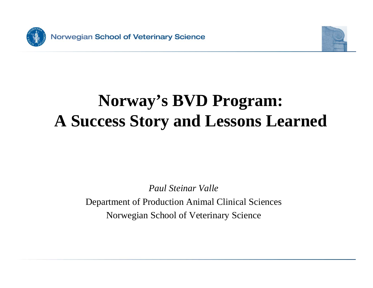



### **Norway's BVD Program: A Success Story and Lessons Learned**

*Paul Steinar Valle*

Department of Production Animal Clinical Sciences Norwegian School o f Veterinary Science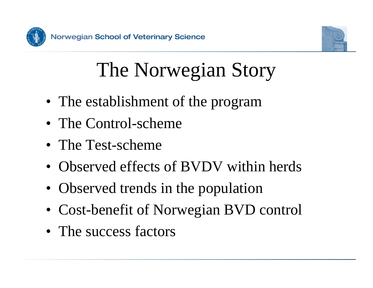



# The Norwegian Story

- The establishment of the program
- The Control-scheme
- The Test-scheme
- Observed effects of BVDV within herds
- Observed trends in the population
- Cost-benefit of Norwegian BVD control
- The success factors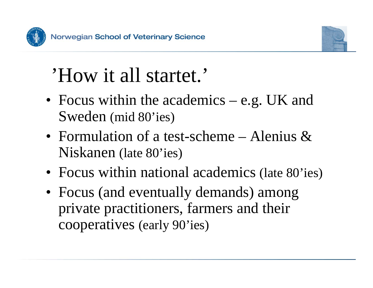



## 'How it all startet.'

- Focus within the academics e.g. UK and Sweden (mid 80'ies)
- Formulation of a test-scheme Alenius & Niskanen (late 80'ies)
- Focus within national academics (late 80'ies)
- Focus (and eventually demands) among private practitioners, farmers and their cooperatives (early 90'ies)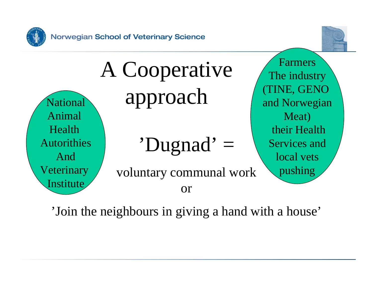



'Dugnad' = voluntary communal work orFarmersThe industry (TINE, GENO and Norwegian Meat) their HealthServices andlocal vets pushing A Cooperative National approach Animal HealthAutorithiesAndVeterinary Institute

'Join the neighbours in giving a hand with a house'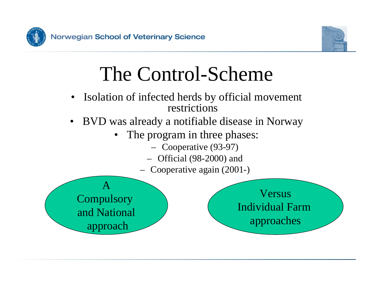



## The Control-Scheme

- • Isolation of infected herds by official movement restrictions
- BVD was already a notifiable disease in Norway
	- The program in three phases:
		- Cooperative (93-97)
		- Official (98-2000) and
		- Cooperative again (2001-)



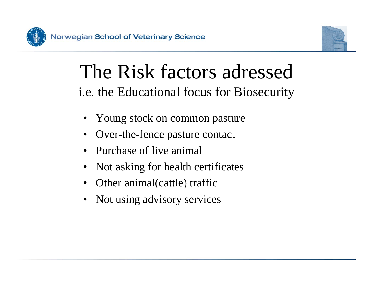



### The Risk factors adressedi.e. the Educational focus for Biosecurity

- Young stock on common pasture
- •• Over-the-fence pasture contact
- Purchase of live animal
- •Not asking for health certificates
- Other animal(cattle) traffic
- Not using advisory services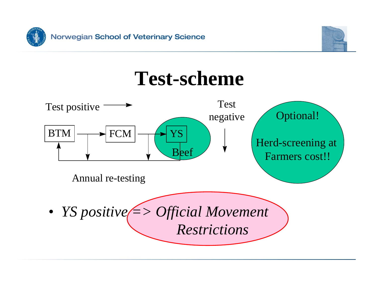





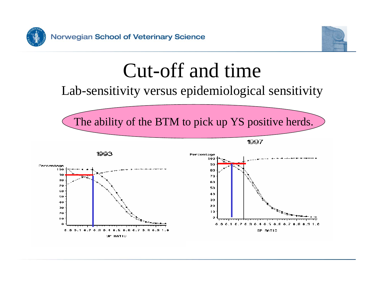



## Cut-off and time

#### Lab-sensitivity versus epidemiological sensitivity



1997



1993

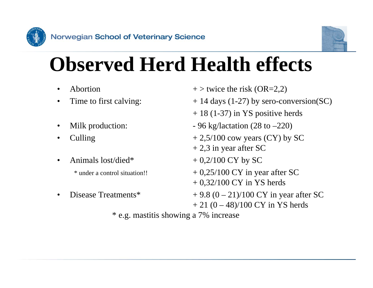



## **Observed Herd Health effects**

- •Abortion
- $\bullet$
- •Milk production:
- •
- •

\* under a control situation!!

•Disease Treatments\*

- $+$  > twice the risk (OR=2,2)
- Time to first calving:  $+ 14 \text{ days} (1-27)$  by sero-conversion(SC)
	- + 18 (1-37) in YS positive herds
	- $-96$  kg/lactation (28 to  $-220$ )
- Culling  $+2,5/100$  cow years (CY) by SC
	- $+ 2.3$  in year after SC
- Animals lost/died\*  $+ 0,2/100$  CY by SC
	- $+ 0,25/100$  CY in year after SC
	- + 0,32/100 CY in YS herds
	- $+ 9.8 (0 21)/100 \text{ CY}$  in year after SC  $+ 21 (0 - 48)/100$  CY in YS herds

\* e.g. mastitis showing a 7% increase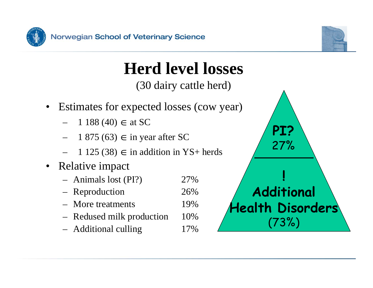



# **Herd level losses**

(30 dairy cattle herd)

- Estimates for expected losses (cow year)
	- 1 188 (40)  $\in$  at SC
	- 1 875 (63) ∈ in year after SC
	- 1 125 (38) ∈ in addition in YS+ herds
- Relative impact
	- Animals lost (PI?) 27%
	- Reproduction 26%
	- More treatments 19%
	- Redused milk production 10%
	- Additional culling 17%

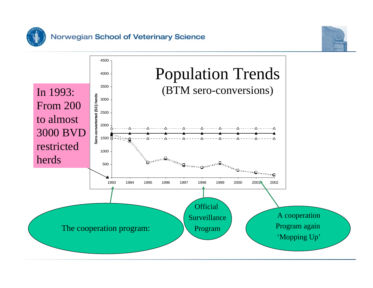



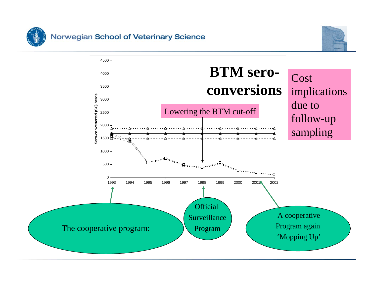



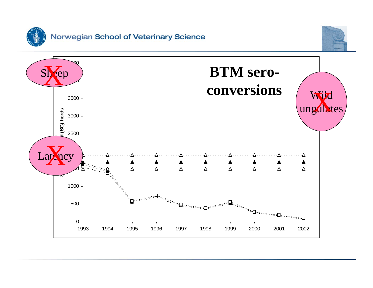

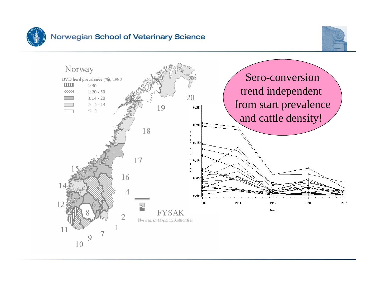



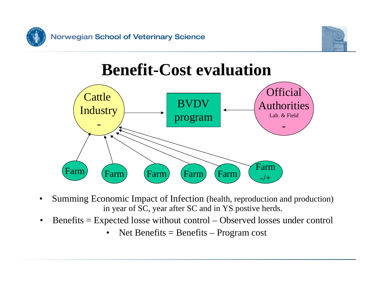



### **Benefit-Cost evaluation**



- • Summing Economic Impact of Infection (health, reproduction and production) in year of SC, year after SC and in YS postive herds.
- •• Benefits = Expected losse without control – Observed losses under control
	- $\bullet$ • Net Benefits = Benefits – Program cost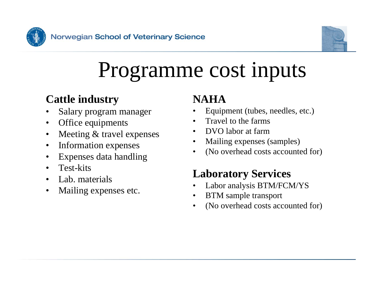



# Programme cost inputs

#### **Cattle industry**

- •Salary program manager
- $\bullet$ Office equipments
- •Meeting & travel expenses
- •Information expenses
- •Expenses data handling
- $\bullet$ Test-kits
- •Lab. materials
- •Mailing expenses etc.

#### **NAHA**

- •Equipment (tubes, needles, etc.)
- •Travel to the farms
- •DVO labor at farm
- •Mailing expenses (samples)
- •(No overhead costs accounted for)

#### **Laboratory Services**

- •Labor analysis BTM/FCM/YS
- •BTM sample transport
- •(No overhead costs accounted for)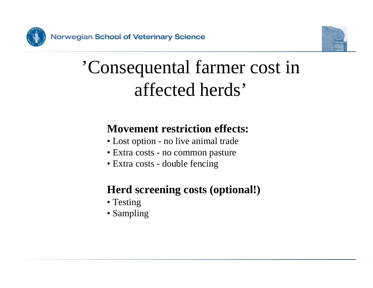



## 'Consequental farmer cost in affected herds'

#### **Movement restriction effects:**

- Lost option no live animal trade
- Extra costs no common pasture
- Extra costs double fencing

#### **Herd screening costs (optional!)**

- Testing
- Sampling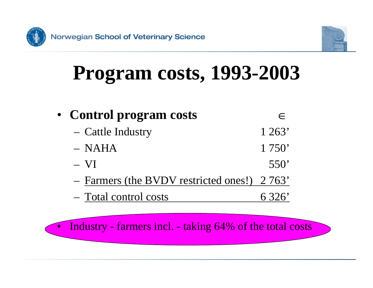

•



# **Program costs, 1993-2003**

• **Control program costs** ∈– Cattle Industry 1 263'–NAHA 1 750' $- VI$  $VI$  550' – <u>Farmers (the BVDV restricted ones!)</u> 2763' – Total control costs 6 326'

Industry - farmers incl. - taking 64% of the total costs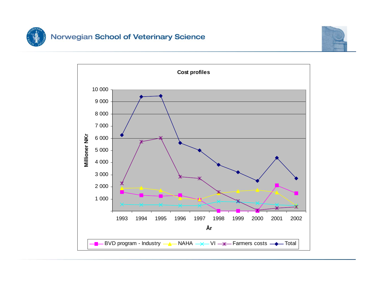

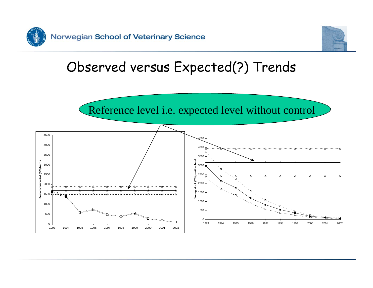



### Observed versus Expected(?) Trends

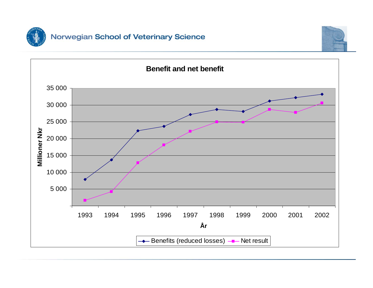

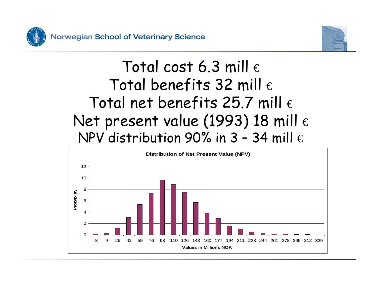



### Total cost 6.3 mill  $\epsilon$ Total benefits 32 mill  $\epsilon$ Total net benefits 25.7 mill  $\epsilon$ Net present value (1993) 18 mill  $\epsilon$ NPV distribution 90% in  $3 - 34$  mill  $\epsilon$

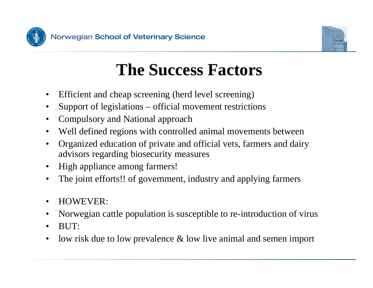



### **The Success Factors**

- •Efficient and cheap screening (herd level screening)
- •Support of legislations – official movement restrictions
- •Compulsory and National approach
- •Well defined regions with controlled animal movements between
- $\bullet$ Organized education of private and official vets, farmers and dairy advisors regarding biosecuri ty measures
- •High appliance among farmers!
- •The joint efforts!! of government, industry and applying farmers
- •HOWEVER:
- •Norwegian cattle population is susceptible to re-introduction of virus
- •BUT:
- $\bullet$ low risk due to low prevalence & low live animal and semen import